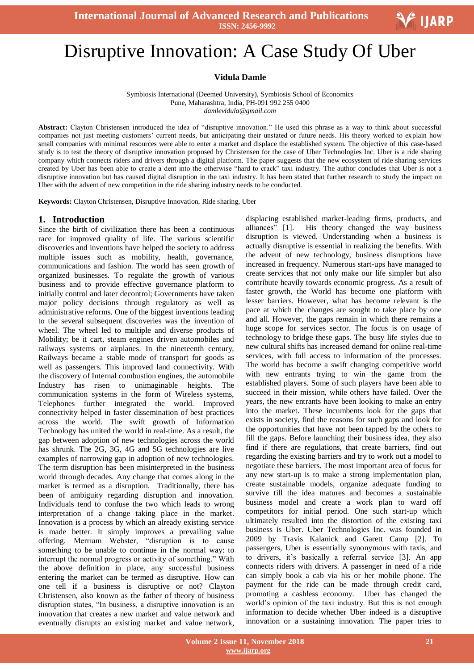

# .<br>I Disruptive Innovation: A Case Study Of Uber

**Vidula Damle**

Symbiosis International (Deemed University), Symbiosis School of Economics Pune, Maharashtra, India, PH-091 992 255 0400 *damlevidula@gmail.com*

**Abstract:** Clayton Christensen introduced the idea of "disruptive innovation." He used this phrase as a way to think about successful companies not just meeting customers" current needs, but anticipating their unstated or future needs. His theory worked to explain how small companies with minimal resources were able to enter a market and displace the established system. The objective of this case-based study is to test the theory of disruptive innovation proposed by Christensen for the case of Uber Technologies Inc. Uber is a ride sharing company which connects riders and drivers through a digital platform. The paper suggests that the new ecosystem of ride sharing services created by Uber has been able to create a dent into the otherwise "hard to crack" taxi industry. The author concludes that Uber is not a disruptive innovation but has caused digital disruption in the taxi industry. It has been stated that further research to study the impact on Uber with the advent of new competition in the ride sharing industry needs to be conducted.

**Keywords:** Clayton Christensen, Disruptive Innovation, Ride sharing, Uber

#### **1. Introduction**

Since the birth of civilization there has been a continuous race for improved quality of life. The various scientific discoveries and inventions have helped the society to address multiple issues such as mobility, health, governance, communications and fashion. The world has seen growth of organized businesses. To regulate the growth of various business and to provide effective governance platform to initially control and later decontrol; Governments have taken major policy decisions through regulatory as well as administrative reforms. One of the biggest inventions leading to the several subsequent discoveries was the invention of wheel. The wheel led to multiple and diverse products of Mobility; be it cart, steam engines driven automobiles and railways systems or airplanes. In the nineteenth century, Railways became a stable mode of transport for goods as well as passengers. This improved land connectivity. With the discovery of Internal combustion engines, the automobile Industry has risen to unimaginable heights. The communication systems in the form of Wireless systems, Telephones further integrated the world. Improved connectivity helped in faster dissemination of best practices across the world. The swift growth of Information Technology has united the world in real-time. As a result, the gap between adoption of new technologies across the world has shrunk. The 2G, 3G, 4G and 5G technologies are live examples of narrowing gap in adoption of new technologies. The term disruption has been misinterpreted in the business world through decades. Any change that comes along in the market is termed as a disruption. Traditionally, there has been of ambiguity regarding disruption and innovation. Individuals tend to confuse the two which leads to wrong interpretation of a change taking place in the market. Innovation is a process by which an already existing service is made better. It simply improves a prevailing value offering. Merriam Webster, "disruption is to cause something to be unable to continue in the normal way: to interrupt the normal progress or activity of something." With the above definition in place, any successful business entering the market can be termed as disruptive. How can one tell if a business is disruptive or not? Clayton Christensen, also known as the father of theory of business disruption states, "In business, a disruptive innovation is an innovation that creates a new market and value network and eventually disrupts an existing market and value network,

displacing established market-leading firms, products, and alliances" [1]. His theory changed the way business disruption is viewed. Understanding when a business is actually disruptive is essential in realizing the benefits. With the advent of new technology, business disruptions have increased in frequency. Numerous start-ups have managed to create services that not only make our life simpler but also contribute heavily towards economic progress. As a result of faster growth, the World has become one platform with lesser barriers. However, what has become relevant is the pace at which the changes are sought to take place by one and all. However, the gaps remain in which there remains a huge scope for services sector. The focus is on usage of technology to bridge these gaps. The busy life styles due to new cultural shifts has increased demand for online real-time services, with full access to information of the processes. The world has become a swift changing competitive world with new entrants trying to win the game from the established players. Some of such players have been able to succeed in their mission, while others have failed. Over the years, the new entrants have been looking to make an entry into the market. These incumbents look for the gaps that exists in society, find the reasons for such gaps and look for the opportunities that have not been tapped by the others to fill the gaps. Before launching their business idea, they also find if there are regulations, that create barriers, find out regarding the existing barriers and try to work out a model to negotiate these barriers. The most important area of focus for any new start-up is to make a strong implementation plan, create sustainable models, organize adequate funding to survive till the idea matures and becomes a sustainable business model and create a work plan to ward off competitors for initial period. One such start-up which ultimately resulted into the distortion of the existing taxi business is Uber. Uber Technologies Inc. was founded in 2009 by Travis Kalanick and Garett Camp [2]. To passengers, Uber is essentially synonymous with taxis, and to drivers, it's basically a referral service [3]. An app connects riders with drivers. A passenger in need of a ride can simply book a cab via his or her mobile phone. The payment for the ride can be made through credit card, promoting a cashless economy. Uber has changed the world"s opinion of the taxi industry. But this is not enough information to decide whether Uber indeed is a disruptive innovation or a sustaining innovation. The paper tries to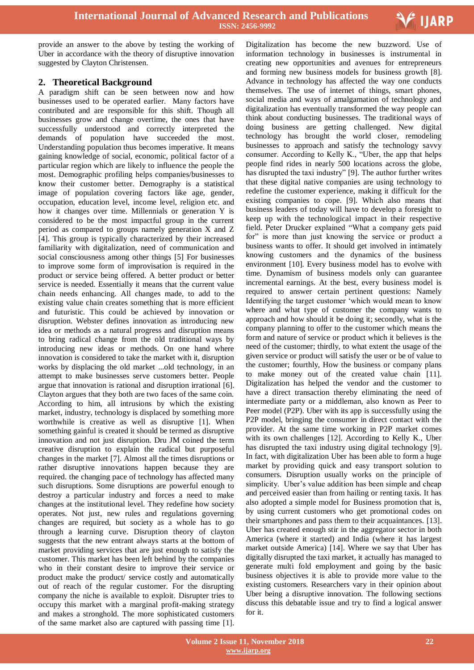

provide an answer to the above by testing the working of Uber in accordance with the theory of disruptive innovation suggested by Clayton Christensen.

## **2. Theoretical Background**

A paradigm shift can be seen between now and how businesses used to be operated earlier. Many factors have contributed and are responsible for this shift. Though all businesses grow and change overtime, the ones that have successfully understood and correctly interpreted the demands of population have succeeded the most. Understanding population thus becomes imperative. It means gaining knowledge of social, economic, political factor of a particular region which are likely to influence the people the most. Demographic profiling helps companies/businesses to know their customer better. Demography is a statistical image of population covering factors like age, gender, occupation, education level, income level, religion etc. and how it changes over time. Millennials or generation Y is considered to be the most impactful group in the current period as compared to groups namely generation X and Z [4]. This group is typically characterized by their increased familiarity with digitalization, need of communication and social consciousness among other things [5] For businesses to improve some form of improvisation is required in the product or service being offered. A better product or better service is needed. Essentially it means that the current value chain needs enhancing. All changes made, to add to the existing value chain creates something that is more efficient and futuristic. This could be achieved by innovation or disruption. Webster defines innovation as introducing new idea or methods as a natural progress and disruption means to bring radical change from the old traditional ways by introducing new ideas or methods. On one hand where innovation is considered to take the market with it, disruption works by displacing the old market ...old technology, in an attempt to make businesses serve customers better. People argue that innovation is rational and disruption irrational [6]. Clayton argues that they both are two faces of the same coin. According to him, all intrusions by which the existing market, industry, technology is displaced by something more worthwhile is creative as well as disruptive [1]. When something gainful is created it should be termed as disruptive innovation and not just disruption. Dru JM coined the term creative disruption to explain the radical but purposeful changes in the market [7]. Almost all the times disruptions or rather disruptive innovations happen because they are required. the changing pace of technology has affected many such disruptions. Some disruptions are powerful enough to destroy a particular industry and forces a need to make changes at the institutional level. They redefine how society operates. Not just, new rules and regulations governing changes are required, but society as a whole has to go through a learning curve. Disruption theory of clayton suggests that the new entrant always starts at the bottom of market providing services that are just enough to satisfy the customer. This market has been left behind by the companies who in their constant desire to improve their service or product make the product/ service costly and automatically out of reach of the regular customer. For the disrupting company the niche is available to exploit. Disrupter tries to occupy this market with a marginal profit-making strategy and makes a stronghold. The more sophisticated customers of the same market also are captured with passing time [1].

 Digitalization has become the new buzzword. Use of information technology in businesses is instrumental in creating new opportunities and avenues for entrepreneurs and forming new business models for business growth [8]. Advance in technology has affected the way one conducts themselves. The use of internet of things, smart phones, social media and ways of amalgamation of technology and digitalization has eventually transformed the way people can think about conducting businesses. The traditional ways of doing business are getting challenged. New digital technology has brought the world closer, remodeling businesses to approach and satisfy the technology savvy consumer. According to Kelly K., "Uber, the app that helps people find rides in nearly 500 locations across the globe, has disrupted the taxi industry" [9]. The author further writes that these digital native companies are using technology to redefine the customer experience, making it difficult for the existing companies to cope. [9]. Which also means that business leaders of today will have to develop a foresight to keep up with the technological impact in their respective field. Peter Drucker explained "What a company gets paid for" is more than just knowing the service or product a business wants to offer. It should get involved in intimately knowing customers and the dynamics of the business environment [10]. Every business model has to evolve with time. Dynamism of business models only can guarantee incremental earnings. At the best, every business model is required to answer certain pertinent questions: Namely Identifying the target customer "which would mean to know where and what type of customer the company wants to approach and how should it be doing it; secondly, what is the company planning to offer to the customer which means the form and nature of service or product which it believes is the need of the customer; thirdly, to what extent the usage of the given service or product will satisfy the user or be of value to the customer; fourthly, How the business or company plans to make money out of the created value chain [11]. Digitalization has helped the vendor and the customer to have a direct transaction thereby eliminating the need of intermediate party or a middleman, also known as Peer to Peer model (P2P). Uber with its app is successfully using the P2P model, bringing the consumer in direct contact with the provider. At the same time working in P2P market comes with its own challenges [12]. According to Kelly K., Uber has disrupted the taxi industry using digital technology [9]. In fact, with digitalization Uber has been able to form a huge market by providing quick and easy transport solution to consumers. Disruption usually works on the principle of simplicity. Uber's value addition has been simple and cheap and perceived easier than from hailing or renting taxis. It has also adopted a simple model for Business promotion that is, by using current customers who get promotional codes on their smartphones and pass them to their acquaintances. [13]. Uber has created enough stir in the aggregator sector in both America (where it started) and India (where it has largest market outside America) [14]. Where we say that Uber has digitally disrupted the taxi market, it actually has managed to generate multi fold employment and going by the basic business objectives it is able to provide more value to the existing customers. Researchers vary in their opinion about Uber being a disruptive innovation. The following sections discuss this debatable issue and try to find a logical answer for it.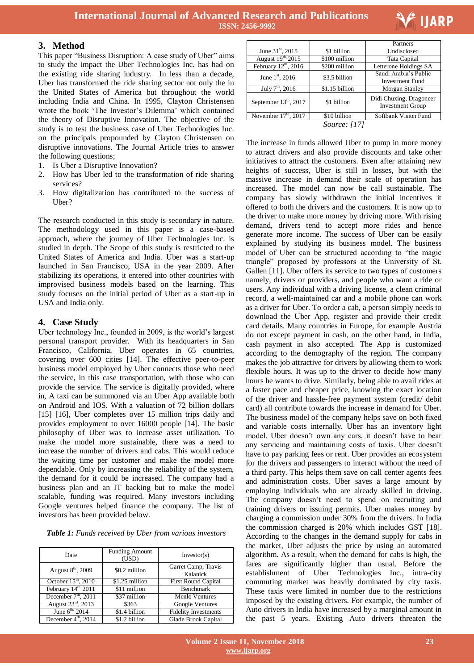

#### **3. Method**

This paper "Business Disruption: A case study of Uber" aims to study the impact the Uber Technologies Inc. has had on the existing ride sharing industry. In less than a decade, Uber has transformed the ride sharing sector not only the in the United States of America but throughout the world including India and China. In 1995, Clayton Christensen wrote the book "The Investor"s Dilemma" which contained the theory of Disruptive Innovation. The objective of the study is to test the business case of Uber Technologies Inc. on the principals propounded by Clayton Christensen on disruptive innovations. The Journal Article tries to answer the following questions;

- 1. Is Uber a Disruptive Innovation?
- 2. How has Uber led to the transformation of ride sharing services?
- 3. How digitalization has contributed to the success of Uber?

The research conducted in this study is secondary in nature. The methodology used in this paper is a case-based approach, where the journey of Uber Technologies Inc. is studied in depth. The Scope of this study is restricted to the United States of America and India. Uber was a start-up launched in San Francisco, USA in the year 2009. After stabilizing its operations, it entered into other countries with improvised business models based on the learning. This study focuses on the initial period of Uber as a start-up in USA and India only.

## **4. Case Study**

Uber technology Inc., founded in 2009, is the world"s largest personal transport provider. With its headquarters in San Francisco, California, Uber operates in 65 countries, covering over 600 cities [14]. The effective peer-to-peer business model employed by Uber connects those who need the service, in this case transportation, with those who can provide the service. The service is digitally provided, where in, A taxi can be summoned via an Uber App available both on Android and IOS. With a valuation of 72 billion dollars [15] [16], Uber completes over 15 million trips daily and provides employment to over 16000 people [14]. The basic philosophy of Uber was to increase asset utilization. To make the model more sustainable, there was a need to increase the number of drivers and cabs. This would reduce the waiting time per customer and make the model more dependable. Only by increasing the reliability of the system, the demand for it could be increased. The company had a business plan and an IT backing but to make the model scalable, funding was required. Many investors including Google ventures helped finance the company. The list of investors has been provided below.

| Table 1: Funds received by Uber from various investors |  |  |  |  |  |  |  |  |  |
|--------------------------------------------------------|--|--|--|--|--|--|--|--|--|
|--------------------------------------------------------|--|--|--|--|--|--|--|--|--|

| Date                           | <b>Funding Amount</b><br>(USD) | Investor(s)                     |  |
|--------------------------------|--------------------------------|---------------------------------|--|
| August 8 <sup>th</sup> , 2009  | \$0.2 million                  | Garret Camp, Travis<br>Kalanick |  |
| October $15th$ , 2010          | \$1.25 million                 | <b>First Round Capital</b>      |  |
| February 14th, 2011            | \$11 million                   | <b>Benchmark</b>                |  |
| December $7th$ , 2011          | \$37 million                   | <b>Menlo Ventures</b>           |  |
| August $23^{\text{rd}}$ , 2013 | \$363                          | Google Ventures                 |  |
| June $6^{th}$ , 2014           | \$1.4 billion                  | <b>Fidelity Investments</b>     |  |
| December $4th$ , 2014          | \$1.2 billion                  | Glade Brook Capital             |  |

|                                                   |                     | Partners                                           |
|---------------------------------------------------|---------------------|----------------------------------------------------|
| June $31^{\rm st}$ , 2015                         | \$1 billion         | Undisclosed                                        |
| August 19th, 2015                                 | \$100 million       | Tata Capital                                       |
| February 12 <sup>th</sup> , 2016                  | \$200 million       | Letterone Holdings SA                              |
| June $1^{st}$ , 2016                              | \$3.5 billion       | Saudi Arabia's Public                              |
|                                                   |                     | Investment Fund                                    |
| $\overline{\mathrm{July}}$ 7 <sup>th</sup> , 2016 | \$1.15 billion      | Morgan Stanley                                     |
| September $13th$ , 2017                           | \$1 billion         | Didi Chuxing, Dragoneer<br><b>Investment Group</b> |
| November $17th$ , $2017$                          | \$10 billion        | Softbank Vision Fund                               |
|                                                   | <i>Source:</i> [17] |                                                    |

The increase in funds allowed Uber to pump in more money to attract drivers and also provide discounts and take other initiatives to attract the customers. Even after attaining new heights of success, Uber is still in losses, but with the massive increase in demand their scale of operation has increased. The model can now be call sustainable. The company has slowly withdrawn the initial incentives it offered to both the drivers and the customers. It is now up to the driver to make more money by driving more. With rising demand, drivers tend to accept more rides and hence generate more income. The success of Uber can be easily explained by studying its business model. The business model of Uber can be structured according to "the magic triangle" proposed by professors at the University of St. Gallen [11]. Uber offers its service to two types of customers namely, drivers or providers, and people who want a ride or users. Any individual with a driving license, a clean criminal record, a well-maintained car and a mobile phone can work as a driver for Uber. To order a cab, a person simply needs to download the Uber App, register and provide their credit card details. Many countries in Europe, for example Austria do not except payment in cash, on the other hand, in India, cash payment in also accepted. The App is customized according to the demography of the region. The company makes the job attractive for drivers by allowing them to work flexible hours. It was up to the driver to decide how many hours he wants to drive. Similarly, being able to avail rides at a faster pace and cheaper price, knowing the exact location of the driver and hassle-free payment system (credit/ debit card) all contribute towards the increase in demand for Uber. The business model of the company helps save on both fixed and variable costs internally. Uber has an inventory light model. Uber doesn"t own any cars, it doesn"t have to bear any servicing and maintaining costs of taxis. Uber doesn"t have to pay parking fees or rent. Uber provides an ecosystem for the drivers and passengers to interact without the need of a third party. This helps them save on call center agents fees and administration costs. Uber saves a large amount by employing individuals who are already skilled in driving. The company doesn't need to spend on recruiting and training drivers or issuing permits. Uber makes money by charging a commission under 30% from the drivers. In India the commission charged is 20% which includes GST [18]. According to the changes in the demand supply for cabs in the market, Uber adjusts the price by using an automated algorithm. As a result, when the demand for cabs is high, the fares are significantly higher than usual. Before the establishment of Uber Technologies Inc., intra-city commuting market was heavily dominated by city taxis. These taxis were limited in number due to the restrictions imposed by the existing drivers. For example, the number of Auto drivers in India have increased by a marginal amount in the past 5 years. Existing Auto drivers threaten the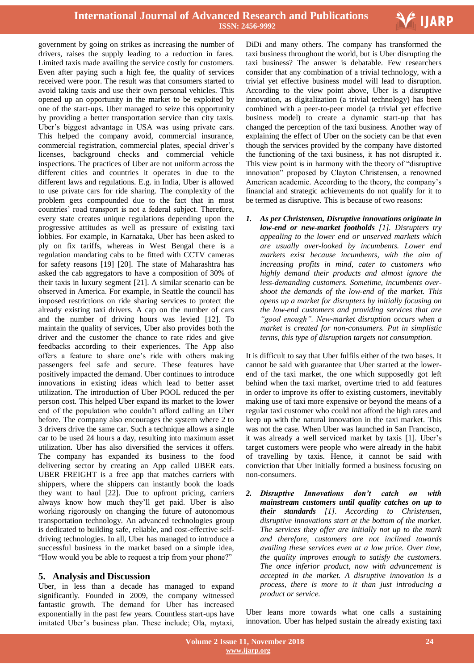

government by going on strikes as increasing the number of drivers, raises the supply leading to a reduction in fares. Limited taxis made availing the service costly for customers. Even after paying such a high fee, the quality of services received were poor. The result was that consumers started to avoid taking taxis and use their own personal vehicles. This opened up an opportunity in the market to be exploited by one of the start-ups. Uber managed to seize this opportunity by providing a better transportation service than city taxis. Uber's biggest advantage in USA was using private cars. This helped the company avoid, commercial insurance, commercial registration, commercial plates, special driver"s licenses, background checks and commercial vehicle inspections. The practices of Uber are not uniform across the different cities and countries it operates in due to the different laws and regulations. E.g. in India, Uber is allowed to use private cars for ride sharing. The complexity of the problem gets compounded due to the fact that in most countries" road transport is not a federal subject. Therefore, every state creates unique regulations depending upon the progressive attitudes as well as pressure of existing taxi lobbies. For example, in Karnataka, Uber has been asked to ply on fix tariffs, whereas in West Bengal there is a regulation mandating cabs to be fitted with CCTV cameras for safety reasons [19] [20]. The state of Maharashtra has asked the cab aggregators to have a composition of 30% of their taxis in luxury segment [21]. A similar scenario can be observed in America. For example, in Seattle the council has imposed restrictions on ride sharing services to protect the already existing taxi drivers. A cap on the number of cars and the number of driving hours was levied [12]. To maintain the quality of services, Uber also provides both the driver and the customer the chance to rate rides and give feedbacks according to their experiences. The App also offers a feature to share one"s ride with others making passengers feel safe and secure. These features have positively impacted the demand. Uber continues to introduce innovations in existing ideas which lead to better asset utilization. The introduction of Uber POOL reduced the per person cost. This helped Uber expand its market to the lower end of the population who couldn"t afford calling an Uber before. The company also encourages the system where 2 to 3 drivers drive the same car. Such a technique allows a single car to be used 24 hours a day, resulting into maximum asset utilization. Uber has also diversified the services it offers. The company has expanded its business to the food delivering sector by creating an App called UBER eats. UBER FREIGHT is a free app that matches carriers with shippers, where the shippers can instantly book the loads they want to haul [22]. Due to upfront pricing, carriers always know how much they"ll get paid. Uber is also working rigorously on changing the future of autonomous transportation technology. An advanced technologies group is dedicated to building safe, reliable, and cost-effective selfdriving technologies. In all, Uber has managed to introduce a successful business in the market based on a simple idea, "How would you be able to request a trip from your phone?"

## **5. Analysis and Discussion**

Uber, in less than a decade has managed to expand significantly. Founded in 2009, the company witnessed fantastic growth. The demand for Uber has increased exponentially in the past few years. Countless start-ups have imitated Uber's business plan. These include; Ola, mytaxi,

 DiDi and many others. The company has transformed the taxi business throughout the world, but is Uber disrupting the taxi business? The answer is debatable. Few researchers consider that any combination of a trivial technology, with a trivial yet effective business model will lead to disruption. According to the view point above, Uber is a disruptive innovation, as digitalization (a trivial technology) has been combined with a peer-to-peer model (a trivial yet effective business model) to create a dynamic start-up that has changed the perception of the taxi business. Another way of explaining the effect of Uber on the society can be that even though the services provided by the company have distorted the functioning of the taxi business, it has not disrupted it. This view point is in harmony with the theory of "disruptive innovation" proposed by Clayton Christensen, a renowned American academic. According to the theory, the company"s financial and strategic achievements do not qualify for it to be termed as disruptive. This is because of two reasons:

*1. As per Christensen, Disruptive innovations originate in low-end or new-market footholds [1]. Disrupters try appealing to the lower end or unserved markets which are usually over-looked by incumbents. Lower end markets exist because incumbents, with the aim of increasing profits in mind, cater to customers who highly demand their products and almost ignore the less-demanding customers. Sometime, incumbents overshoot the demands of the low-end of the market. This opens up a market for disrupters by initially focusing on the low-end customers and providing services that are "good enough". New-market disruption occurs when a market is created for non-consumers. Put in simplistic terms, this type of disruption targets not consumption.* 

It is difficult to say that Uber fulfils either of the two bases. It cannot be said with guarantee that Uber started at the lowerend of the taxi market, the one which supposedly got left behind when the taxi market, overtime tried to add features in order to improve its offer to existing customers, inevitably making use of taxi more expensive or beyond the means of a regular taxi customer who could not afford the high rates and keep up with the natural innovation in the taxi market. This was not the case. When Uber was launched in San Francisco, it was already a well serviced market by taxis [1]. Uber"s target customers were people who were already in the habit of travelling by taxis. Hence, it cannot be said with conviction that Uber initially formed a business focusing on non-consumers.

*2. Disruptive Innovations don't catch on with mainstream customers until quality catches on up to their standards [1]. According to Christensen, disruptive innovations start at the bottom of the market. The services they offer are initially not up to the mark and therefore, customers are not inclined towards availing these services even at a low price. Over time, the quality improves enough to satisfy the customers. The once inferior product, now with advancement is accepted in the market. A disruptive innovation is a process, there is more to it than just introducing a product or service.* 

Uber leans more towards what one calls a sustaining innovation. Uber has helped sustain the already existing taxi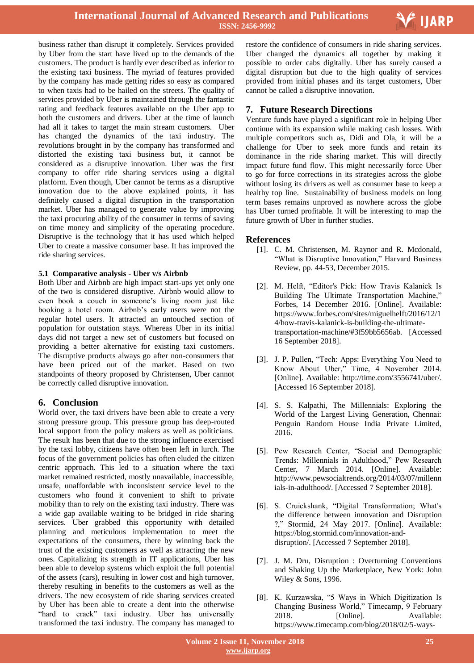

business rather than disrupt it completely. Services provided by Uber from the start have lived up to the demands of the customers. The product is hardly ever described as inferior to the existing taxi business. The myriad of features provided by the company has made getting rides so easy as compared to when taxis had to be hailed on the streets. The quality of services provided by Uber is maintained through the fantastic rating and feedback features available on the Uber app to both the customers and drivers. Uber at the time of launch had all it takes to target the main stream customers. Uber has changed the dynamics of the taxi industry. The revolutions brought in by the company has transformed and distorted the existing taxi business but, it cannot be considered as a disruptive innovation. Uber was the first company to offer ride sharing services using a digital platform. Even though, Uber cannot be terms as a disruptive innovation due to the above explained points, it has definitely caused a digital disruption in the transportation market. Uber has managed to generate value by improving the taxi procuring ability of the consumer in terms of saving on time money and simplicity of the operating procedure. Disruptive is the technology that it has used which helped Uber to create a massive consumer base. It has improved the ride sharing services.

#### **5.1 Comparative analysis - Uber v/s Airbnb**

Both Uber and Airbnb are high impact start-ups yet only one of the two is considered disruptive. Airbnb would allow to even book a couch in someone"s living room just like booking a hotel room. Airbnb"s early users were not the regular hotel users. It attracted an untouched section of population for outstation stays. Whereas Uber in its initial days did not target a new set of customers but focused on providing a better alternative for existing taxi customers. The disruptive products always go after non-consumers that have been priced out of the market. Based on two standpoints of theory proposed by Christensen, Uber cannot be correctly called disruptive innovation.

## **6. Conclusion**

World over, the taxi drivers have been able to create a very strong pressure group. This pressure group has deep-routed local support from the policy makers as well as politicians. The result has been that due to the strong influence exercised by the taxi lobby, citizens have often been left in lurch. The focus of the government policies has often eluded the citizen centric approach. This led to a situation where the taxi market remained restricted, mostly unavailable, inaccessible, unsafe, unaffordable with inconsistent service level to the customers who found it convenient to shift to private mobility than to rely on the existing taxi industry. There was a wide gap available waiting to be bridged in ride sharing services. Uber grabbed this opportunity with detailed planning and meticulous implementation to meet the expectations of the consumers, there by winning back the trust of the existing customers as well as attracting the new ones. Capitalizing its strength in IT applications, Uber has been able to develop systems which exploit the full potential of the assets (cars), resulting in lower cost and high turnover, thereby resulting in benefits to the customers as well as the drivers. The new ecosystem of ride sharing services created by Uber has been able to create a dent into the otherwise "hard to crack" taxi industry. Uber has universally transformed the taxi industry. The company has managed to

 restore the confidence of consumers in ride sharing services. Uber changed the dynamics all together by making it possible to order cabs digitally. Uber has surely caused a digital disruption but due to the high quality of services provided from initial phases and its target customers, Uber cannot be called a disruptive innovation.

## **7. Future Research Directions**

Venture funds have played a significant role in helping Uber continue with its expansion while making cash losses. With multiple competitors such as, Didi and Ola, it will be a challenge for Uber to seek more funds and retain its dominance in the ride sharing market. This will directly impact future fund flow. This might necessarily force Uber to go for force corrections in its strategies across the globe without losing its drivers as well as consumer base to keep a healthy top line. Sustainability of business models on long term bases remains unproved as nowhere across the globe has Uber turned profitable. It will be interesting to map the future growth of Uber in further studies.

## **References**

- [1]. C. M. Christensen, M. Raynor and R. Mcdonald, "What is Disruptive Innovation," Harvard Business Review, pp. 44-53, December 2015.
- [2]. M. Helft, "Editor's Pick: How Travis Kalanick Is Building The Ultimate Transportation Machine," Forbes, 14 December 2016. [Online]. Available: https://www.forbes.com/sites/miguelhelft/2016/12/1 4/how-travis-kalanick-is-building-the-ultimatetransportation-machine/#3f59bb5656ab. [Accessed 16 September 2018].
- [3]. J. P. Pullen, "Tech: Apps: Everything You Need to Know About Uber," Time, 4 November 2014. [Online]. Available: http://time.com/3556741/uber/. [Accessed 16 September 2018].
- [4]. S. S. Kalpathi, The Millennials: Exploring the World of the Largest Living Generation, Chennai: Penguin Random House India Private Limited, 2016.
- [5]. Pew Research Center, "Social and Demographic Trends: Millennials in Adulthood," Pew Research Center, 7 March 2014. [Online]. Available: http://www.pewsocialtrends.org/2014/03/07/millenn ials-in-adulthood/. [Accessed 7 September 2018].
- [6]. S. Cruickshank, "Digital Transformation; What's the difference between innovation and Disruption ?," Stormid, 24 May 2017. [Online]. Available: https://blog.stormid.com/innovation-anddisruption/. [Accessed 7 September 2018].
- [7]. J. M. Dru, Disruption : Overturning Conventions and Shaking Up the Marketplace, New York: John Wiley & Sons, 1996.
- [8]. K. Kurzawska, "5 Ways in Which Digitization Is Changing Business World," Timecamp, 9 February 2018. [Online]. Available: https://www.timecamp.com/blog/2018/02/5-ways-